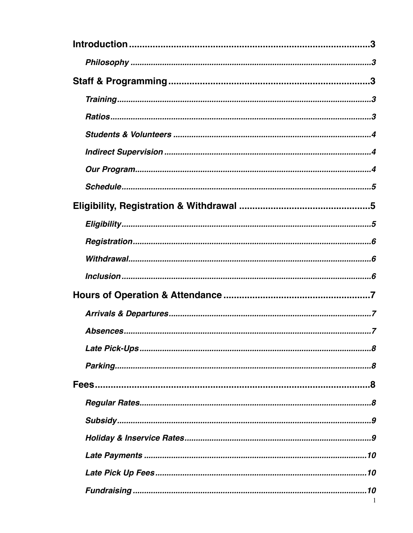| -1 |
|----|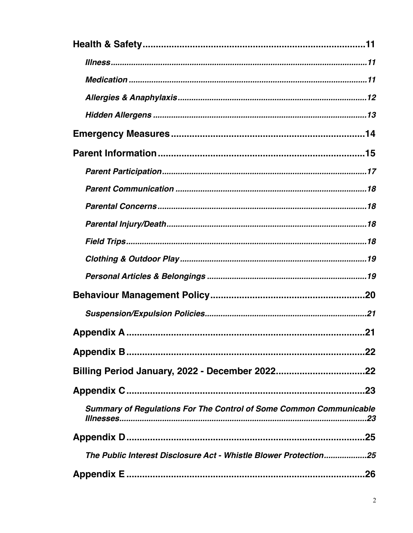| <b>Summary of Regulations For The Control of Some Common Communicable</b> |
|---------------------------------------------------------------------------|
|                                                                           |
| The Public Interest Disclosure Act - Whistle Blower Protection25          |
|                                                                           |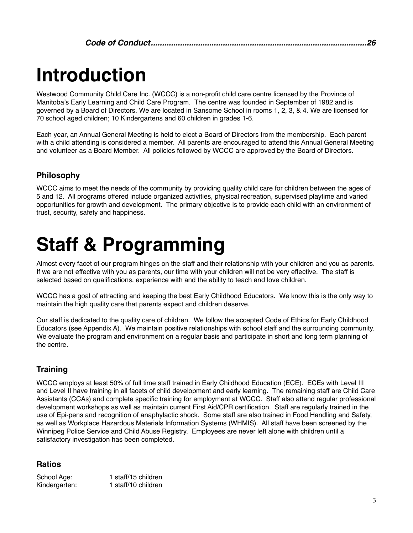## <span id="page-2-0"></span>**Introduction**

Westwood Community Child Care Inc. (WCCC) is a non-profit child care centre licensed by the Province of Manitoba's Early Learning and Child Care Program. The centre was founded in September of 1982 and is governed by a Board of Directors. We are located in Sansome School in rooms 1, 2, 3, & 4. We are licensed for 70 school aged children; 10 Kindergartens and 60 children in grades 1-6.

Each year, an Annual General Meeting is held to elect a Board of Directors from the membership. Each parent with a child attending is considered a member. All parents are encouraged to attend this Annual General Meeting and volunteer as a Board Member. All policies followed by WCCC are approved by the Board of Directors.

## <span id="page-2-1"></span>**Philosophy**

WCCC aims to meet the needs of the community by providing quality child care for children between the ages of 5 and 12. All programs offered include organized activities, physical recreation, supervised playtime and varied opportunities for growth and development. The primary objective is to provide each child with an environment of trust, security, safety and happiness.

# <span id="page-2-2"></span>**Staff & Programming**

Almost every facet of our program hinges on the staff and their relationship with your children and you as parents. If we are not effective with you as parents, our time with your children will not be very effective. The staff is selected based on qualifications, experience with and the ability to teach and love children.

WCCC has a goal of attracting and keeping the best Early Childhood Educators. We know this is the only way to maintain the high quality care that parents expect and children deserve.

Our staff is dedicated to the quality care of children. We follow the accepted Code of Ethics for Early Childhood Educators (see Appendix A). We maintain positive relationships with school staff and the surrounding community. We evaluate the program and environment on a regular basis and participate in short and long term planning of the centre.

## <span id="page-2-3"></span>**Training**

WCCC employs at least 50% of full time staff trained in Early Childhood Education (ECE). ECEs with Level III and Level II have training in all facets of child development and early learning. The remaining staff are Child Care Assistants (CCAs) and complete specific training for employment at WCCC. Staff also attend regular professional development workshops as well as maintain current First Aid/CPR certification. Staff are regularly trained in the use of Epi-pens and recognition of anaphylactic shock. Some staff are also trained in Food Handling and Safety, as well as Workplace Hazardous Materials Information Systems (WHMIS). All staff have been screened by the Winnipeg Police Service and Child Abuse Registry. Employees are never left alone with children until a satisfactory investigation has been completed.

## <span id="page-2-4"></span>**Ratios**

School Age: 1 staff/15 children Kindergarten: 1 staff/10 children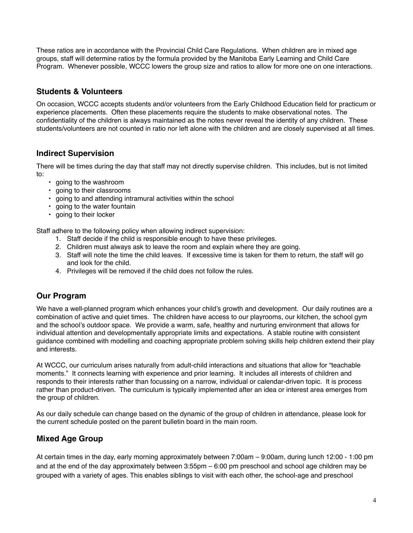These ratios are in accordance with the Provincial Child Care Regulations. When children are in mixed age groups, staff will determine ratios by the formula provided by the Manitoba Early Learning and Child Care Program. Whenever possible, WCCC lowers the group size and ratios to allow for more one on one interactions.

## <span id="page-3-0"></span>**Students & Volunteers**

On occasion, WCCC accepts students and/or volunteers from the Early Childhood Education field for practicum or experience placements. Often these placements require the students to make observational notes. The confidentiality of the children is always maintained as the notes never reveal the identity of any children. These students/volunteers are not counted in ratio nor left alone with the children and are closely supervised at all times.

## <span id="page-3-1"></span>**Indirect Supervision**

There will be times during the day that staff may not directly supervise children. This includes, but is not limited to:

- going to the washroom
- going to their classrooms
- going to and attending intramural activities within the school
- going to the water fountain
- going to their locker

Staff adhere to the following policy when allowing indirect supervision:

- 1. Staff decide if the child is responsible enough to have these privileges.
- 2. Children must always ask to leave the room and explain where they are going.
- 3. Staff will note the time the child leaves. If excessive time is taken for them to return, the staff will go and look for the child.
- 4. Privileges will be removed if the child does not follow the rules.

## <span id="page-3-2"></span>**Our Program**

We have a well-planned program which enhances your child's growth and development. Our daily routines are a combination of active and quiet times. The children have access to our playrooms, our kitchen, the school gym and the school's outdoor space. We provide a warm, safe, healthy and nurturing environment that allows for individual attention and developmentally appropriate limits and expectations. A stable routine with consistent guidance combined with modelling and coaching appropriate problem solving skills help children extend their play and interests.

At WCCC, our curriculum arises naturally from adult-child interactions and situations that allow for "teachable moments." It connects learning with experience and prior learning. It includes all interests of children and responds to their interests rather than focussing on a narrow, individual or calendar-driven topic. It is process rather than product-driven. The curriculum is typically implemented after an idea or interest area emerges from the group of children.

As our daily schedule can change based on the dynamic of the group of children in attendance, please look for the current schedule posted on the parent bulletin board in the main room.

## **Mixed Age Group**

At certain times in the day, early morning approximately between 7:00am – 9:00am, during lunch 12:00 - 1:00 pm and at the end of the day approximately between 3:55pm – 6:00 pm preschool and school age children may be grouped with a variety of ages. This enables siblings to visit with each other, the school-age and preschool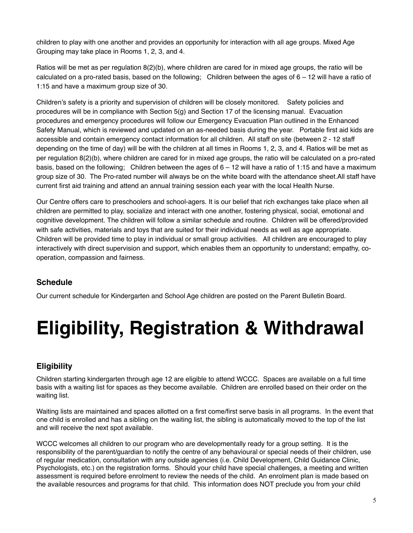children to play with one another and provides an opportunity for interaction with all age groups. Mixed Age Grouping may take place in Rooms 1, 2, 3, and 4.

Ratios will be met as per regulation 8(2)(b), where children are cared for in mixed age groups, the ratio will be calculated on a pro-rated basis, based on the following; Children between the ages of  $6 - 12$  will have a ratio of 1:15 and have a maximum group size of 30.

Children's safety is a priority and supervision of children will be closely monitored. Safety policies and procedures will be in compliance with Section 5(g) and Section 17 of the licensing manual. Evacuation procedures and emergency procedures will follow our Emergency Evacuation Plan outlined in the Enhanced Safety Manual, which is reviewed and updated on an as-needed basis during the year. Portable first aid kids are accessible and contain emergency contact information for all children. All staff on site (between 2 - 12 staff depending on the time of day) will be with the children at all times in Rooms 1, 2, 3, and 4. Ratios will be met as per regulation 8(2)(b), where children are cared for in mixed age groups, the ratio will be calculated on a pro-rated basis, based on the following; Children between the ages of  $6 - 12$  will have a ratio of 1:15 and have a maximum group size of 30. The Pro-rated number will always be on the white board with the attendance sheet.All staff have current first aid training and attend an annual training session each year with the local Health Nurse.

Our Centre offers care to preschoolers and school-agers. It is our belief that rich exchanges take place when all children are permitted to play, socialize and interact with one another, fostering physical, social, emotional and cognitive development. The children will follow a similar schedule and routine. Children will be offered/provided with safe activities, materials and toys that are suited for their individual needs as well as age appropriate. Children will be provided time to play in individual or small group activities. All children are encouraged to play interactively with direct supervision and support, which enables them an opportunity to understand; empathy, cooperation, compassion and fairness.

## <span id="page-4-0"></span>**Schedule**

Our current schedule for Kindergarten and School Age children are posted on the Parent Bulletin Board.

# <span id="page-4-1"></span>**Eligibility, Registration & Withdrawal**

## <span id="page-4-2"></span>**Eligibility**

Children starting kindergarten through age 12 are eligible to attend WCCC. Spaces are available on a full time basis with a waiting list for spaces as they become available. Children are enrolled based on their order on the waiting list.

Waiting lists are maintained and spaces allotted on a first come/first serve basis in all programs. In the event that one child is enrolled and has a sibling on the waiting list, the sibling is automatically moved to the top of the list and will receive the next spot available.

WCCC welcomes all children to our program who are developmentally ready for a group setting. It is the responsibility of the parent/guardian to notify the centre of any behavioural or special needs of their children, use of regular medication, consultation with any outside agencies (i.e. Child Development, Child Guidance Clinic, Psychologists, etc.) on the registration forms. Should your child have special challenges, a meeting and written assessment is required before enrolment to review the needs of the child. An enrolment plan is made based on the available resources and programs for that child. This information does NOT preclude you from your child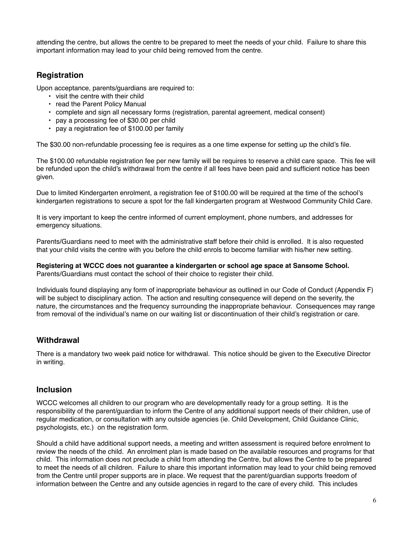attending the centre, but allows the centre to be prepared to meet the needs of your child. Failure to share this important information may lead to your child being removed from the centre.

## <span id="page-5-0"></span>**Registration**

Upon acceptance, parents/guardians are required to:

- visit the centre with their child
- read the Parent Policy Manual
- complete and sign all necessary forms (registration, parental agreement, medical consent)
- pay a processing fee of \$30.00 per child
- pay a registration fee of \$100.00 per family

The \$30.00 non-refundable processing fee is requires as a one time expense for setting up the child's file.

The \$100.00 refundable registration fee per new family will be requires to reserve a child care space. This fee will be refunded upon the child's withdrawal from the centre if all fees have been paid and sufficient notice has been given.

Due to limited Kindergarten enrolment, a registration fee of \$100.00 will be required at the time of the school's kindergarten registrations to secure a spot for the fall kindergarten program at Westwood Community Child Care.

It is very important to keep the centre informed of current employment, phone numbers, and addresses for emergency situations.

Parents/Guardians need to meet with the administrative staff before their child is enrolled. It is also requested that your child visits the centre with you before the child enrols to become familiar with his/her new setting.

#### **Registering at WCCC does not guarantee a kindergarten or school age space at Sansome School.** Parents/Guardians must contact the school of their choice to register their child.

Individuals found displaying any form of inappropriate behaviour as outlined in our Code of Conduct (Appendix F) will be subject to disciplinary action. The action and resulting consequence will depend on the severity, the nature, the circumstances and the frequency surrounding the inappropriate behaviour. Consequences may range from removal of the individual's name on our waiting list or discontinuation of their child's registration or care.

## <span id="page-5-1"></span>**Withdrawal**

There is a mandatory two week paid notice for withdrawal. This notice should be given to the Executive Director in writing.

#### <span id="page-5-2"></span>**Inclusion**

WCCC welcomes all children to our program who are developmentally ready for a group setting. It is the responsibility of the parent/guardian to inform the Centre of any additional support needs of their children, use of regular medication, or consultation with any outside agencies (ie. Child Development, Child Guidance Clinic, psychologists, etc.) on the registration form.

Should a child have additional support needs, a meeting and written assessment is required before enrolment to review the needs of the child. An enrolment plan is made based on the available resources and programs for that child. This information does not preclude a child from attending the Centre, but allows the Centre to be prepared to meet the needs of all children. Failure to share this important information may lead to your child being removed from the Centre until proper supports are in place. We request that the parent/guardian supports freedom of information between the Centre and any outside agencies in regard to the care of every child. This includes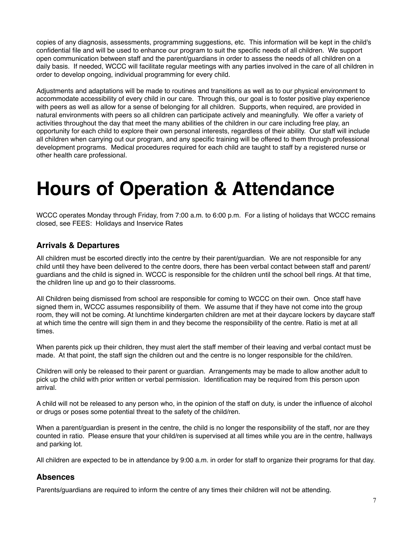copies of any diagnosis, assessments, programming suggestions, etc. This information will be kept in the child's confidential file and will be used to enhance our program to suit the specific needs of all children. We support open communication between staff and the parent/guardians in order to assess the needs of all children on a daily basis. If needed, WCCC will facilitate regular meetings with any parties involved in the care of all children in order to develop ongoing, individual programming for every child.

Adjustments and adaptations will be made to routines and transitions as well as to our physical environment to accommodate accessibility of every child in our care. Through this, our goal is to foster positive play experience with peers as well as allow for a sense of belonging for all children. Supports, when required, are provided in natural environments with peers so all children can participate actively and meaningfully. We offer a variety of activities throughout the day that meet the many abilities of the children in our care including free play, an opportunity for each child to explore their own personal interests, regardless of their ability. Our staff will include all children when carrying out our program, and any specific training will be offered to them through professional development programs. Medical procedures required for each child are taught to staff by a registered nurse or other health care professional.

## <span id="page-6-0"></span>**Hours of Operation & Attendance**

WCCC operates Monday through Friday, from 7:00 a.m. to 6:00 p.m. For a listing of holidays that WCCC remains closed, see FEES: Holidays and Inservice Rates

## <span id="page-6-1"></span>**Arrivals & Departures**

All children must be escorted directly into the centre by their parent/guardian. We are not responsible for any child until they have been delivered to the centre doors, there has been verbal contact between staff and parent/ guardians and the child is signed in. WCCC is responsible for the children until the school bell rings. At that time, the children line up and go to their classrooms.

All Children being dismissed from school are responsible for coming to WCCC on their own. Once staff have signed them in, WCCC assumes responsibility of them. We assume that if they have not come into the group room, they will not be coming. At lunchtime kindergarten children are met at their daycare lockers by daycare staff at which time the centre will sign them in and they become the responsibility of the centre. Ratio is met at all times.

When parents pick up their children, they must alert the staff member of their leaving and verbal contact must be made. At that point, the staff sign the children out and the centre is no longer responsible for the child/ren.

Children will only be released to their parent or guardian. Arrangements may be made to allow another adult to pick up the child with prior written or verbal permission. Identification may be required from this person upon arrival.

A child will not be released to any person who, in the opinion of the staff on duty, is under the influence of alcohol or drugs or poses some potential threat to the safety of the child/ren.

When a parent/guardian is present in the centre, the child is no longer the responsibility of the staff, nor are they counted in ratio. Please ensure that your child/ren is supervised at all times while you are in the centre, hallways and parking lot.

All children are expected to be in attendance by 9:00 a.m. in order for staff to organize their programs for that day.

## <span id="page-6-2"></span>**Absences**

Parents/guardians are required to inform the centre of any times their children will not be attending.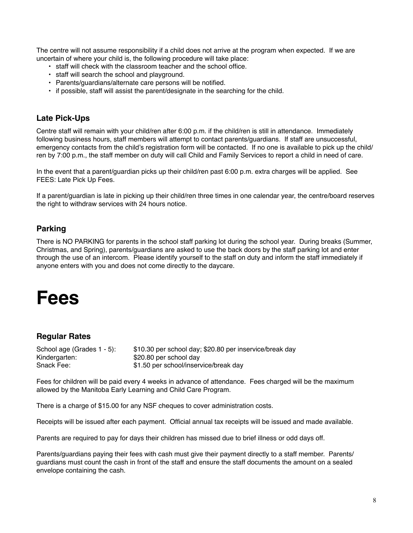The centre will not assume responsibility if a child does not arrive at the program when expected. If we are uncertain of where your child is, the following procedure will take place:

- staff will check with the classroom teacher and the school office.
- staff will search the school and playground.
- Parents/guardians/alternate care persons will be notified.
- if possible, staff will assist the parent/designate in the searching for the child.

#### <span id="page-7-0"></span>**Late Pick-Ups**

Centre staff will remain with your child/ren after 6:00 p.m. if the child/ren is still in attendance. Immediately following business hours, staff members will attempt to contact parents/guardians. If staff are unsuccessful, emergency contacts from the child's registration form will be contacted. If no one is available to pick up the child/ ren by 7:00 p.m., the staff member on duty will call Child and Family Services to report a child in need of care.

In the event that a parent/guardian picks up their child/ren past 6:00 p.m. extra charges will be applied. See FEES: Late Pick Up Fees.

If a parent/guardian is late in picking up their child/ren three times in one calendar year, the centre/board reserves the right to withdraw services with 24 hours notice.

## <span id="page-7-1"></span>**Parking**

There is NO PARKING for parents in the school staff parking lot during the school year. During breaks (Summer, Christmas, and Spring), parents/guardians are asked to use the back doors by the staff parking lot and enter through the use of an intercom. Please identify yourself to the staff on duty and inform the staff immediately if anyone enters with you and does not come directly to the daycare.

## <span id="page-7-2"></span>**Fees**

## <span id="page-7-3"></span>**Regular Rates**

| School age (Grades 1 - 5): | \$10.30 per school day; \$20.80 per inservice/break day |
|----------------------------|---------------------------------------------------------|
| Kindergarten:              | \$20.80 per school day                                  |
| Snack Fee:                 | \$1.50 per school/inservice/break day                   |

Fees for children will be paid every 4 weeks in advance of attendance. Fees charged will be the maximum allowed by the Manitoba Early Learning and Child Care Program.

There is a charge of \$15.00 for any NSF cheques to cover administration costs.

Receipts will be issued after each payment. Official annual tax receipts will be issued and made available.

Parents are required to pay for days their children has missed due to brief illness or odd days off.

Parents/guardians paying their fees with cash must give their payment directly to a staff member. Parents/ guardians must count the cash in front of the staff and ensure the staff documents the amount on a sealed envelope containing the cash.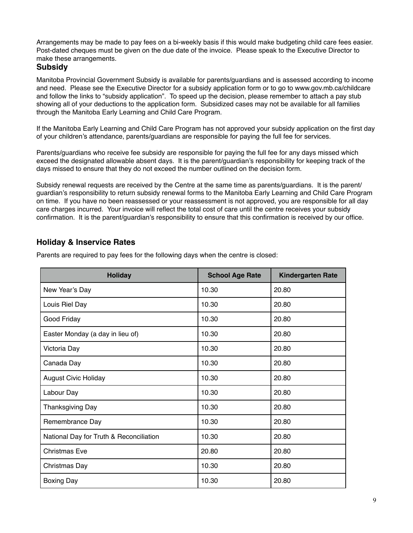Arrangements may be made to pay fees on a bi-weekly basis if this would make budgeting child care fees easier. Post-dated cheques must be given on the due date of the invoice. Please speak to the Executive Director to make these arrangements.

#### <span id="page-8-0"></span>**Subsidy**

Manitoba Provincial Government Subsidy is available for parents/guardians and is assessed according to income and need. Please see the Executive Director for a subsidy application form or to go to [www.gov.mb.ca/childcare](http://www.gov.mb.ca/childcare)  and follow the links to "subsidy application". To speed up the decision, please remember to attach a pay stub showing all of your deductions to the application form. Subsidized cases may not be available for all families through the Manitoba Early Learning and Child Care Program.

If the Manitoba Early Learning and Child Care Program has not approved your subsidy application on the first day of your children's attendance, parents/guardians are responsible for paying the full fee for services.

Parents/guardians who receive fee subsidy are responsible for paying the full fee for any days missed which exceed the designated allowable absent days. It is the parent/guardian's responsibility for keeping track of the days missed to ensure that they do not exceed the number outlined on the decision form.

Subsidy renewal requests are received by the Centre at the same time as parents/guardians. It is the parent/ guardian's responsibility to return subsidy renewal forms to the Manitoba Early Learning and Child Care Program on time. If you have no been reassessed or your reassessment is not approved, you are responsible for all day care charges incurred. Your invoice will reflect the total cost of care until the centre receives your subsidy confirmation. It is the parent/guardian's responsibility to ensure that this confirmation is received by our office.

## <span id="page-8-1"></span>**Holiday & Inservice Rates**

| <b>Holiday</b>                          | <b>School Age Rate</b> | <b>Kindergarten Rate</b> |
|-----------------------------------------|------------------------|--------------------------|
| New Year's Day                          | 10.30                  | 20.80                    |
| Louis Riel Day                          | 10.30                  | 20.80                    |
| Good Friday                             | 10.30                  | 20.80                    |
| Easter Monday (a day in lieu of)        | 10.30                  | 20.80                    |
| Victoria Day                            | 10.30                  | 20.80                    |
| Canada Day                              | 10.30                  | 20.80                    |
| <b>August Civic Holiday</b>             | 10.30                  | 20.80                    |
| Labour Day                              | 10.30                  | 20.80                    |
| <b>Thanksgiving Day</b>                 | 10.30                  | 20.80                    |
| Remembrance Day                         | 10.30                  | 20.80                    |
| National Day for Truth & Reconciliation | 10.30                  | 20.80                    |
| <b>Christmas Eve</b>                    | 20.80                  | 20.80                    |
| Christmas Day                           | 10.30                  | 20.80                    |
| <b>Boxing Day</b>                       | 10.30                  | 20.80                    |

Parents are required to pay fees for the following days when the centre is closed: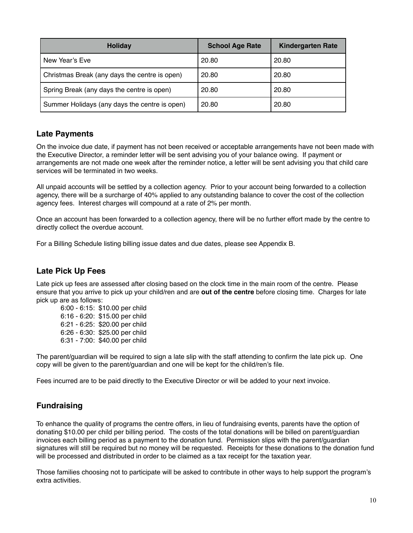| Holiday                                       | <b>School Age Rate</b> | <b>Kindergarten Rate</b> |
|-----------------------------------------------|------------------------|--------------------------|
| New Year's Eve                                | 20.80                  | 20.80                    |
| Christmas Break (any days the centre is open) | 20.80                  | 20.80                    |
| Spring Break (any days the centre is open)    | 20.80                  | 20.80                    |
| Summer Holidays (any days the centre is open) | 20.80                  | 20.80                    |

#### <span id="page-9-0"></span>**Late Payments**

On the invoice due date, if payment has not been received or acceptable arrangements have not been made with the Executive Director, a reminder letter will be sent advising you of your balance owing. If payment or arrangements are not made one week after the reminder notice, a letter will be sent advising you that child care services will be terminated in two weeks.

All unpaid accounts will be settled by a collection agency. Prior to your account being forwarded to a collection agency, there will be a surcharge of 40% applied to any outstanding balance to cover the cost of the collection agency fees. Interest charges will compound at a rate of 2% per month.

Once an account has been forwarded to a collection agency, there will be no further effort made by the centre to directly collect the overdue account.

For a Billing Schedule listing billing issue dates and due dates, please see Appendix B.

## <span id="page-9-1"></span>**Late Pick Up Fees**

Late pick up fees are assessed after closing based on the clock time in the main room of the centre. Please ensure that you arrive to pick up your child/ren and are **out of the centre** before closing time. Charges for late pick up are as follows:

6:00 - 6:15: \$10.00 per child 6:16 - 6:20: \$15.00 per child 6:21 - 6:25: \$20.00 per child 6:26 - 6:30: \$25.00 per child 6:31 - 7:00: \$40.00 per child

The parent/guardian will be required to sign a late slip with the staff attending to confirm the late pick up. One copy will be given to the parent/guardian and one will be kept for the child/ren's file.

Fees incurred are to be paid directly to the Executive Director or will be added to your next invoice.

## <span id="page-9-2"></span>**Fundraising**

To enhance the quality of programs the centre offers, in lieu of fundraising events, parents have the option of donating \$10.00 per child per billing period. The costs of the total donations will be billed on parent/guardian invoices each billing period as a payment to the donation fund. Permission slips with the parent/guardian signatures will still be required but no money will be requested. Receipts for these donations to the donation fund will be processed and distributed in order to be claimed as a tax receipt for the taxation year.

Those families choosing not to participate will be asked to contribute in other ways to help support the program's extra activities.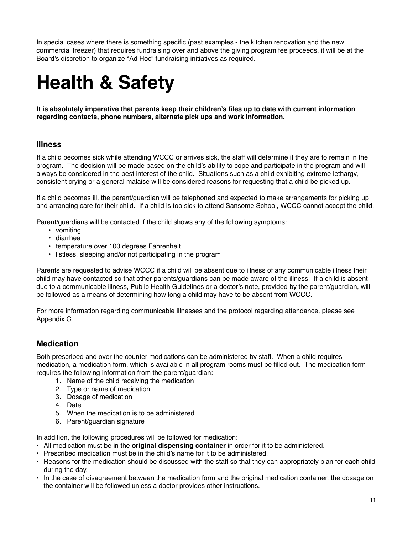In special cases where there is something specific (past examples - the kitchen renovation and the new commercial freezer) that requires fundraising over and above the giving program fee proceeds, it will be at the Board's discretion to organize "Ad Hoc" fundraising initiatives as required.

# <span id="page-10-0"></span>**Health & Safety**

**It is absolutely imperative that parents keep their children's files up to date with current information regarding contacts, phone numbers, alternate pick ups and work information.**

#### <span id="page-10-1"></span>**Illness**

If a child becomes sick while attending WCCC or arrives sick, the staff will determine if they are to remain in the program. The decision will be made based on the child's ability to cope and participate in the program and will always be considered in the best interest of the child. Situations such as a child exhibiting extreme lethargy, consistent crying or a general malaise will be considered reasons for requesting that a child be picked up.

If a child becomes ill, the parent/guardian will be telephoned and expected to make arrangements for picking up and arranging care for their child. If a child is too sick to attend Sansome School, WCCC cannot accept the child.

Parent/guardians will be contacted if the child shows any of the following symptoms:

- vomiting
- diarrhea
- temperature over 100 degrees Fahrenheit
- listless, sleeping and/or not participating in the program

Parents are requested to advise WCCC if a child will be absent due to illness of any communicable illness their child may have contacted so that other parents/guardians can be made aware of the illness. If a child is absent due to a communicable illness, Public Health Guidelines or a doctor's note, provided by the parent/guardian, will be followed as a means of determining how long a child may have to be absent from WCCC.

For more information regarding communicable illnesses and the protocol regarding attendance, please see Appendix C.

## <span id="page-10-2"></span>**Medication**

Both prescribed and over the counter medications can be administered by staff. When a child requires medication, a medication form, which is available in all program rooms must be filled out. The medication form requires the following information from the parent/guardian:

- 1. Name of the child receiving the medication
- 2. Type or name of medication
- 3. Dosage of medication
- 4. Date
- 5. When the medication is to be administered
- 6. Parent/guardian signature

In addition, the following procedures will be followed for medication:

- All medication must be in the **original dispensing container** in order for it to be administered.
- Prescribed medication must be in the child's name for it to be administered.
- Reasons for the medication should be discussed with the staff so that they can appropriately plan for each child during the day.
- In the case of disagreement between the medication form and the original medication container, the dosage on the container will be followed unless a doctor provides other instructions.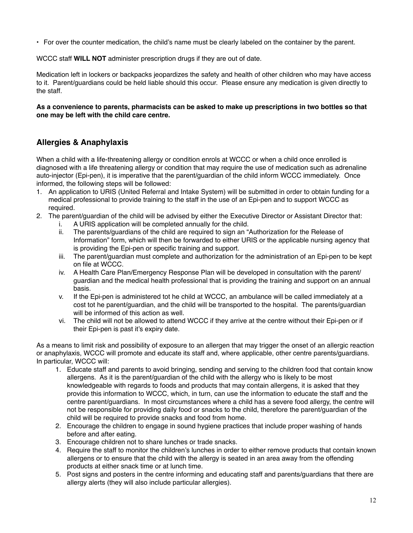• For over the counter medication, the child's name must be clearly labeled on the container by the parent.

WCCC staff **WILL NOT** administer prescription drugs if they are out of date.

Medication left in lockers or backpacks jeopardizes the safety and health of other children who may have access to it. Parent/guardians could be held liable should this occur. Please ensure any medication is given directly to the staff.

#### **As a convenience to parents, pharmacists can be asked to make up prescriptions in two bottles so that one may be left with the child care centre.**

## <span id="page-11-0"></span>**Allergies & Anaphylaxis**

When a child with a life-threatening allergy or condition enrols at WCCC or when a child once enrolled is diagnosed with a life threatening allergy or condition that may require the use of medication such as adrenaline auto-injector (Epi-pen), it is imperative that the parent/guardian of the child inform WCCC immediately. Once informed, the following steps will be followed:

- 1. An application to URIS (United Referral and Intake System) will be submitted in order to obtain funding for a medical professional to provide training to the staff in the use of an Epi-pen and to support WCCC as required.
- 2. The parent/guardian of the child will be advised by either the Executive Director or Assistant Director that:
	- i. A URIS application will be completed annually for the child.
	- ii. The parents/guardians of the child are required to sign an "Authorization for the Release of Information" form, which will then be forwarded to either URIS or the applicable nursing agency that is providing the Epi-pen or specific training and support.
	- iii. The parent/guardian must complete and authorization for the administration of an Epi-pen to be kept on file at WCCC.
	- iv. A Health Care Plan/Emergency Response Plan will be developed in consultation with the parent/ guardian and the medical health professional that is providing the training and support on an annual basis.
	- v. If the Epi-pen is administered tot he child at WCCC, an ambulance will be called immediately at a cost tot he parent/guardian, and the child will be transported to the hospital. The parents/guardian will be informed of this action as well.
	- vi. The child will not be allowed to attend WCCC if they arrive at the centre without their Epi-pen or if their Epi-pen is past it's expiry date.

As a means to limit risk and possibility of exposure to an allergen that may trigger the onset of an allergic reaction or anaphylaxis, WCCC will promote and educate its staff and, where applicable, other centre parents/guardians. In particular, WCCC will:

- 1. Educate staff and parents to avoid bringing, sending and serving to the children food that contain know allergens. As it is the parent/guardian of the child with the allergy who is likely to be most knowledgeable with regards to foods and products that may contain allergens, it is asked that they provide this information to WCCC, which, in turn, can use the information to educate the staff and the centre parent/guardians. In most circumstances where a child has a severe food allergy, the centre will not be responsible for providing daily food or snacks to the child, therefore the parent/guardian of the child will be required to provide snacks and food from home.
- 2. Encourage the children to engage in sound hygiene practices that include proper washing of hands before and after eating.
- 3. Encourage children not to share lunches or trade snacks.
- 4. Require the staff to monitor the children's lunches in order to either remove products that contain known allergens or to ensure that the child with the allergy is seated in an area away from the offending products at either snack time or at lunch time.
- 5. Post signs and posters in the centre informing and educating staff and parents/guardians that there are allergy alerts (they will also include particular allergies).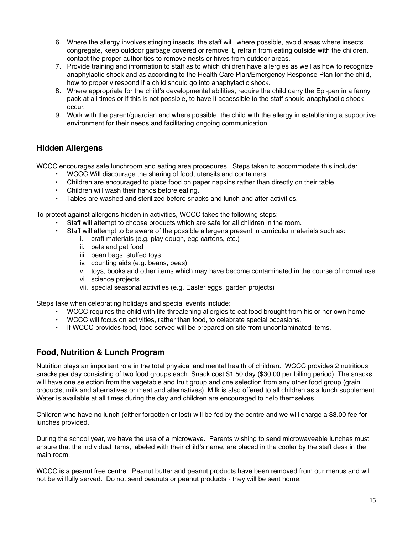- 6. Where the allergy involves stinging insects, the staff will, where possible, avoid areas where insects congregate, keep outdoor garbage covered or remove it, refrain from eating outside with the children, contact the proper authorities to remove nests or hives from outdoor areas.
- 7. Provide training and information to staff as to which children have allergies as well as how to recognize anaphylactic shock and as according to the Health Care Plan/Emergency Response Plan for the child, how to properly respond if a child should go into anaphylactic shock.
- 8. Where appropriate for the child's developmental abilities, require the child carry the Epi-pen in a fanny pack at all times or if this is not possible, to have it accessible to the staff should anaphylactic shock occur.
- 9. Work with the parent/guardian and where possible, the child with the allergy in establishing a supportive environment for their needs and facilitating ongoing communication.

## <span id="page-12-0"></span>**Hidden Allergens**

WCCC encourages safe lunchroom and eating area procedures. Steps taken to accommodate this include:

- WCCC Will discourage the sharing of food, utensils and containers.
- Children are encouraged to place food on paper napkins rather than directly on their table.
- Children will wash their hands before eating.
- Tables are washed and sterilized before snacks and lunch and after activities.

To protect against allergens hidden in activities, WCCC takes the following steps:

- Staff will attempt to choose products which are safe for all children in the room.
- Staff will attempt to be aware of the possible allergens present in curricular materials such as:
	- i. craft materials (e.g. play dough, egg cartons, etc.)
		- ii. pets and pet food
		- iii. bean bags, stuffed toys
		- iv. counting aids (e.g. beans, peas)
		- v. toys, books and other items which may have become contaminated in the course of normal use
		- vi. science projects
		- vii. special seasonal activities (e.g. Easter eggs, garden projects)

Steps take when celebrating holidays and special events include:

- WCCC requires the child with life threatening allergies to eat food brought from his or her own home
- WCCC will focus on activities, rather than food, to celebrate special occasions.
- If WCCC provides food, food served will be prepared on site from uncontaminated items.

## **Food, Nutrition & Lunch Program**

Nutrition plays an important role in the total physical and mental health of children. WCCC provides 2 nutritious snacks per day consisting of two food groups each. Snack cost \$1.50 day (\$30.00 per billing period). The snacks will have one selection from the vegetable and fruit group and one selection from any other food group (grain products, milk and alternatives or meat and alternatives). Milk is also offered to all children as a lunch supplement. Water is available at all times during the day and children are encouraged to help themselves.

Children who have no lunch (either forgotten or lost) will be fed by the centre and we will charge a \$3.00 fee for lunches provided.

During the school year, we have the use of a microwave. Parents wishing to send microwaveable lunches must ensure that the individual items, labeled with their child's name, are placed in the cooler by the staff desk in the main room.

WCCC is a peanut free centre. Peanut butter and peanut products have been removed from our menus and will not be willfully served. Do not send peanuts or peanut products - they will be sent home.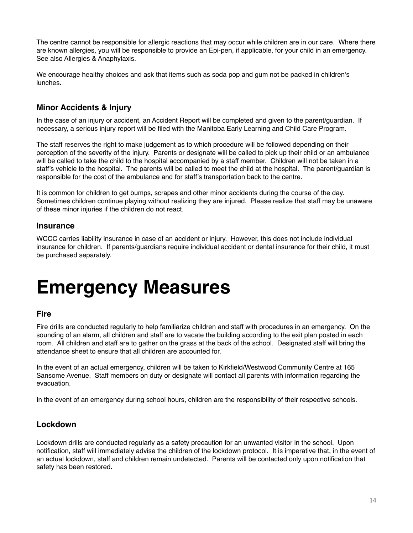The centre cannot be responsible for allergic reactions that may occur while children are in our care. Where there are known allergies, you will be responsible to provide an Epi-pen, if applicable, for your child in an emergency. See also Allergies & Anaphylaxis.

We encourage healthy choices and ask that items such as soda pop and gum not be packed in children's lunches.

## **Minor Accidents & Injury**

In the case of an injury or accident, an Accident Report will be completed and given to the parent/guardian. If necessary, a serious injury report will be filed with the Manitoba Early Learning and Child Care Program.

The staff reserves the right to make judgement as to which procedure will be followed depending on their perception of the severity of the injury. Parents or designate will be called to pick up their child or an ambulance will be called to take the child to the hospital accompanied by a staff member. Children will not be taken in a staff's vehicle to the hospital. The parents will be called to meet the child at the hospital. The parent/guardian is responsible for the cost of the ambulance and for staff's transportation back to the centre.

It is common for children to get bumps, scrapes and other minor accidents during the course of the day. Sometimes children continue playing without realizing they are injured. Please realize that staff may be unaware of these minor injuries if the children do not react.

#### **Insurance**

WCCC carries liability insurance in case of an accident or injury. However, this does not include individual insurance for children. If parents/guardians require individual accident or dental insurance for their child, it must be purchased separately.

## <span id="page-13-0"></span>**Emergency Measures**

#### **Fire**

Fire drills are conducted regularly to help familiarize children and staff with procedures in an emergency. On the sounding of an alarm, all children and staff are to vacate the building according to the exit plan posted in each room. All children and staff are to gather on the grass at the back of the school. Designated staff will bring the attendance sheet to ensure that all children are accounted for.

In the event of an actual emergency, children will be taken to Kirkfield/Westwood Community Centre at 165 Sansome Avenue. Staff members on duty or designate will contact all parents with information regarding the evacuation.

In the event of an emergency during school hours, children are the responsibility of their respective schools.

## **Lockdown**

Lockdown drills are conducted regularly as a safety precaution for an unwanted visitor in the school. Upon notification, staff will immediately advise the children of the lockdown protocol. It is imperative that, in the event of an actual lockdown, staff and children remain undetected. Parents will be contacted only upon notification that safety has been restored.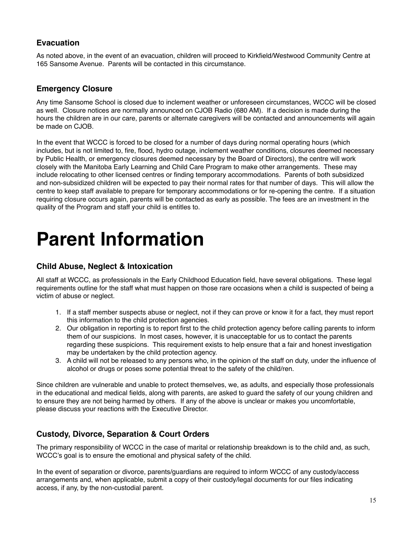## **Evacuation**

As noted above, in the event of an evacuation, children will proceed to Kirkfield/Westwood Community Centre at 165 Sansome Avenue. Parents will be contacted in this circumstance.

## **Emergency Closure**

Any time Sansome School is closed due to inclement weather or unforeseen circumstances, WCCC will be closed as well. Closure notices are normally announced on CJOB Radio (680 AM). If a decision is made during the hours the children are in our care, parents or alternate caregivers will be contacted and announcements will again be made on CJOB.

In the event that WCCC is forced to be closed for a number of days during normal operating hours (which includes, but is not limited to, fire, flood, hydro outage, inclement weather conditions, closures deemed necessary by Public Health, or emergency closures deemed necessary by the Board of Directors), the centre will work closely with the Manitoba Early Learning and Child Care Program to make other arrangements. These may include relocating to other licensed centres or finding temporary accommodations. Parents of both subsidized and non-subsidized children will be expected to pay their normal rates for that number of days. This will allow the centre to keep staff available to prepare for temporary accommodations or for re-opening the centre. If a situation requiring closure occurs again, parents will be contacted as early as possible. The fees are an investment in the quality of the Program and staff your child is entitles to.

## <span id="page-14-0"></span>**Parent Information**

## **Child Abuse, Neglect & Intoxication**

All staff at WCCC, as professionals in the Early Childhood Education field, have several obligations. These legal requirements outline for the staff what must happen on those rare occasions when a child is suspected of being a victim of abuse or neglect.

- 1. If a staff member suspects abuse or neglect, not if they can prove or know it for a fact, they must report this information to the child protection agencies.
- 2. Our obligation in reporting is to report first to the child protection agency before calling parents to inform them of our suspicions. In most cases, however, it is unacceptable for us to contact the parents regarding these suspicions. This requirement exists to help ensure that a fair and honest investigation may be undertaken by the child protection agency.
- 3. A child will not be released to any persons who, in the opinion of the staff on duty, under the influence of alcohol or drugs or poses some potential threat to the safety of the child/ren.

Since children are vulnerable and unable to protect themselves, we, as adults, and especially those professionals in the educational and medical fields, along with parents, are asked to guard the safety of our young children and to ensure they are not being harmed by others. If any of the above is unclear or makes you uncomfortable, please discuss your reactions with the Executive Director.

## **Custody, Divorce, Separation & Court Orders**

The primary responsibility of WCCC in the case of marital or relationship breakdown is to the child and, as such, WCCC's goal is to ensure the emotional and physical safety of the child.

In the event of separation or divorce, parents/guardians are required to inform WCCC of any custody/access arrangements and, when applicable, submit a copy of their custody/legal documents for our files indicating access, if any, by the non-custodial parent.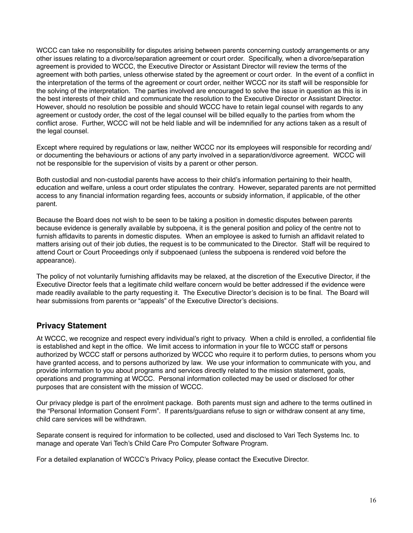WCCC can take no responsibility for disputes arising between parents concerning custody arrangements or any other issues relating to a divorce/separation agreement or court order. Specifically, when a divorce/separation agreement is provided to WCCC, the Executive Director or Assistant Director will review the terms of the agreement with both parties, unless otherwise stated by the agreement or court order. In the event of a conflict in the interpretation of the terms of the agreement or court order, neither WCCC nor its staff will be responsible for the solving of the interpretation. The parties involved are encouraged to solve the issue in question as this is in the best interests of their child and communicate the resolution to the Executive Director or Assistant Director. However, should no resolution be possible and should WCCC have to retain legal counsel with regards to any agreement or custody order, the cost of the legal counsel will be billed equally to the parties from whom the conflict arose. Further, WCCC will not be held liable and will be indemnified for any actions taken as a result of the legal counsel.

Except where required by regulations or law, neither WCCC nor its employees will responsible for recording and/ or documenting the behaviours or actions of any party involved in a separation/divorce agreement. WCCC will not be responsible for the supervision of visits by a parent or other person.

Both custodial and non-custodial parents have access to their child's information pertaining to their health, education and welfare, unless a court order stipulates the contrary. However, separated parents are not permitted access to any financial information regarding fees, accounts or subsidy information, if applicable, of the other parent.

Because the Board does not wish to be seen to be taking a position in domestic disputes between parents because evidence is generally available by subpoena, it is the general position and policy of the centre not to furnish affidavits to parents in domestic disputes. When an employee is asked to furnish an affidavit related to matters arising out of their job duties, the request is to be communicated to the Director. Staff will be required to attend Court or Court Proceedings only if subpoenaed (unless the subpoena is rendered void before the appearance).

The policy of not voluntarily furnishing affidavits may be relaxed, at the discretion of the Executive Director, if the Executive Director feels that a legitimate child welfare concern would be better addressed if the evidence were made readily available to the party requesting it. The Executive Director's decision is to be final. The Board will hear submissions from parents or "appeals" of the Executive Director's decisions.

## **Privacy Statement**

At WCCC, we recognize and respect every individual's right to privacy. When a child is enrolled, a confidential file is established and kept in the office. We limit access to information in your file to WCCC staff or persons authorized by WCCC staff or persons authorized by WCCC who require it to perform duties, to persons whom you have granted access, and to persons authorized by law. We use your information to communicate with you, and provide information to you about programs and services directly related to the mission statement, goals, operations and programming at WCCC. Personal information collected may be used or disclosed for other purposes that are consistent with the mission of WCCC.

Our privacy pledge is part of the enrolment package. Both parents must sign and adhere to the terms outlined in the "Personal Information Consent Form". If parents/guardians refuse to sign or withdraw consent at any time, child care services will be withdrawn.

Separate consent is required for information to be collected, used and disclosed to Vari Tech Systems Inc. to manage and operate Vari Tech's Child Care Pro Computer Software Program.

For a detailed explanation of WCCC's Privacy Policy, please contact the Executive Director.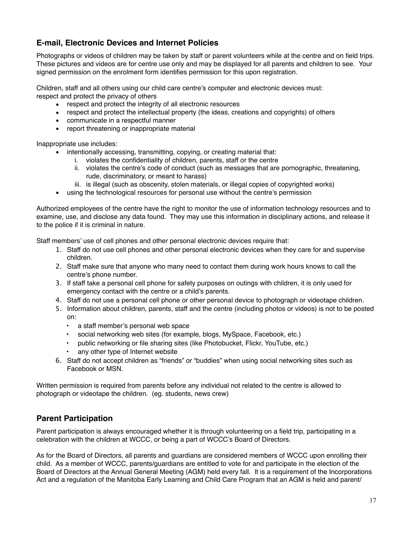## **E-mail, Electronic Devices and Internet Policies**

Photographs or videos of children may be taken by staff or parent volunteers while at the centre and on field trips. These pictures and videos are for centre use only and may be displayed for all parents and children to see. Your signed permission on the enrolment form identifies permission for this upon registration.

Children, staff and all others using our child care centre's computer and electronic devices must: respect and protect the privacy of others

- respect and protect the integrity of all electronic resources
- respect and protect the intellectual property (the ideas, creations and copyrights) of others
- communicate in a respectful manner
- report threatening or inappropriate material

Inappropriate use includes:

- intentionally accessing, transmitting, copying, or creating material that:
	- i. violates the confidentiality of children, parents, staff or the centre
	- ii. violates the centre's code of conduct (such as messages that are pornographic, threatening, rude, discriminatory, or meant to harass)
	- iii. is illegal (such as obscenity, stolen materials, or illegal copies of copyrighted works)
- using the technological resources for personal use without the centre's permission

Authorized employees of the centre have the right to monitor the use of information technology resources and to examine, use, and disclose any data found. They may use this information in disciplinary actions, and release it to the police if it is criminal in nature.

Staff members' use of cell phones and other personal electronic devices require that:

- 1. Staff do not use cell phones and other personal electronic devices when they care for and supervise children.
- 2. Staff make sure that anyone who many need to contact them during work hours knows to call the centre's phone number.
- 3. If staff take a personal cell phone for safety purposes on outings with children, it is only used for emergency contact with the centre or a child's parents.
- 4. Staff do not use a personal cell phone or other personal device to photograph or videotape children.
- 5. Information about children, parents, staff and the centre (including photos or videos) is not to be posted on:
	- a staff member's personal web space
	- social networking web sites (for example, blogs, MySpace, Facebook, etc.)
	- public networking or file sharing sites (like Photobucket, Flickr, YouTube, etc.)
	- any other type of Internet website
- 6. Staff do not accept children as "friends" or "buddies" when using social networking sites such as Facebook or MSN.

Written permission is required from parents before any individual not related to the centre is allowed to photograph or videotape the children. (eg. students, news crew)

## <span id="page-16-0"></span>**Parent Participation**

Parent participation is always encouraged whether it is through volunteering on a field trip, participating in a celebration with the children at WCCC, or being a part of WCCC's Board of Directors.

As for the Board of Directors, all parents and guardians are considered members of WCCC upon enrolling their child. As a member of WCCC, parents/guardians are entitled to vote for and participate in the election of the Board of Directors at the Annual General Meeting (AGM) held every fall. It is a requirement of the Incorporations Act and a regulation of the Manitoba Early Learning and Child Care Program that an AGM is held and parent/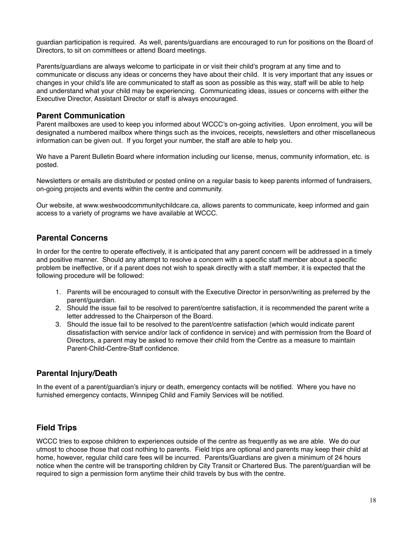guardian participation is required. As well, parents/guardians are encouraged to run for positions on the Board of Directors, to sit on committees or attend Board meetings.

Parents/guardians are always welcome to participate in or visit their child's program at any time and to communicate or discuss any ideas or concerns they have about their child. It is very important that any issues or changes in your child's life are communicated to staff as soon as possible as this way, staff will be able to help and understand what your child may be experiencing. Communicating ideas, issues or concerns with either the Executive Director, Assistant Director or staff is always encouraged.

#### <span id="page-17-0"></span>**Parent Communication**

Parent mailboxes are used to keep you informed about WCCC's on-going activities. Upon enrolment, you will be designated a numbered mailbox where things such as the invoices, receipts, newsletters and other miscellaneous information can be given out. If you forget your number, the staff are able to help you.

We have a Parent Bulletin Board where information including our license, menus, community information, etc. is posted.

Newsletters or emails are distributed or posted online on a regular basis to keep parents informed of fundraisers, on-going projects and events within the centre and community.

Our website, at [www.westwoodcommunitychildcare.ca](http://www.westwoodcommunitychildcare.ca), allows parents to communicate, keep informed and gain access to a variety of programs we have available at WCCC.

## <span id="page-17-1"></span>**Parental Concerns**

In order for the centre to operate effectively, it is anticipated that any parent concern will be addressed in a timely and positive manner. Should any attempt to resolve a concern with a specific staff member about a specific problem be ineffective, or if a parent does not wish to speak directly with a staff member, it is expected that the following procedure will be followed:

- 1. Parents will be encouraged to consult with the Executive Director in person/writing as preferred by the parent/guardian.
- 2. Should the issue fail to be resolved to parent/centre satisfaction, it is recommended the parent write a letter addressed to the Chairperson of the Board.
- 3. Should the issue fail to be resolved to the parent/centre satisfaction (which would indicate parent dissatisfaction with service and/or lack of confidence in service) and with permission from the Board of Directors, a parent may be asked to remove their child from the Centre as a measure to maintain Parent-Child-Centre-Staff confidence.

## <span id="page-17-2"></span>**Parental Injury/Death**

In the event of a parent/guardian's injury or death, emergency contacts will be notified. Where you have no furnished emergency contacts, Winnipeg Child and Family Services will be notified.

## <span id="page-17-3"></span>**Field Trips**

WCCC tries to expose children to experiences outside of the centre as frequently as we are able. We do our utmost to choose those that cost nothing to parents. Field trips are optional and parents may keep their child at home, however, regular child care fees will be incurred. Parents/Guardians are given a minimum of 24 hours notice when the centre will be transporting children by City Transit or Chartered Bus. The parent/guardian will be required to sign a permission form anytime their child travels by bus with the centre.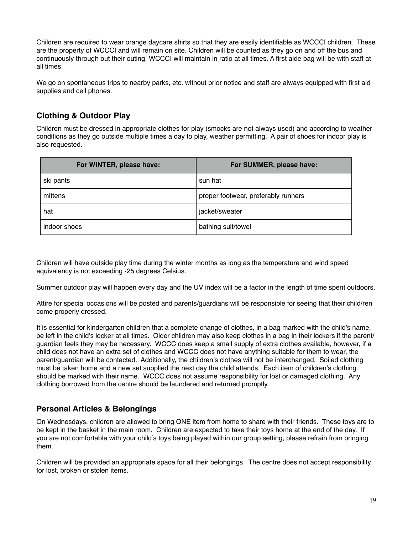Children are required to wear orange daycare shirts so that they are easily identifiable as WCCCI children. These are the property of WCCCI and will remain on site. Children will be counted as they go on and off the bus and continuously through out their outing. WCCCI will maintain in ratio at all times. A first aide bag will be with staff at all times.

We go on spontaneous trips to nearby parks, etc. without prior notice and staff are always equipped with first aid supplies and cell phones.

## <span id="page-18-0"></span>**Clothing & Outdoor Play**

Children must be dressed in appropriate clothes for play (smocks are not always used) and according to weather conditions as they go outside multiple times a day to play, weather permitting. A pair of shoes for indoor play is also requested.

| For WINTER, please have: | For SUMMER, please have:            |
|--------------------------|-------------------------------------|
| ski pants                | sun hat                             |
| mittens                  | proper footwear, preferably runners |
| hat                      | jacket/sweater                      |
| indoor shoes             | bathing suit/towel                  |

Children will have outside play time during the winter months as long as the temperature and wind speed equivalency is not exceeding -25 degrees Celsius.

Summer outdoor play will happen every day and the UV index will be a factor in the length of time spent outdoors.

Attire for special occasions will be posted and parents/guardians will be responsible for seeing that their child/ren come properly dressed.

It is essential for kindergarten children that a complete change of clothes, in a bag marked with the child's name, be left in the child's locker at all times. Older children may also keep clothes in a bag in their lockers if the parent/ guardian feels they may be necessary. WCCC does keep a small supply of extra clothes available, however, if a child does not have an extra set of clothes and WCCC does not have anything suitable for them to wear, the parent/guardian will be contacted. Additionally, the children's clothes will not be interchanged. Soiled clothing must be taken home and a new set supplied the next day the child attends. Each item of children's clothing should be marked with their name. WCCC does not assume responsibility for lost or damaged clothing. Any clothing borrowed from the centre should be laundered and returned promptly.

## <span id="page-18-1"></span>**Personal Articles & Belongings**

On Wednesdays, children are allowed to bring ONE item from home to share with their friends. These toys are to be kept in the basket in the main room. Children are expected to take their toys home at the end of the day. If you are not comfortable with your child's toys being played within our group setting, please refrain from bringing them.

Children will be provided an appropriate space for all their belongings. The centre does not accept responsibility for lost, broken or stolen items.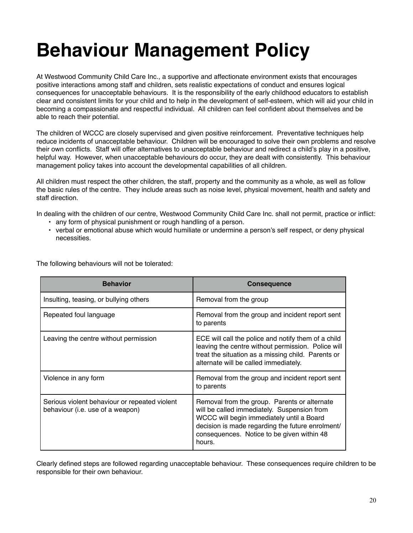# <span id="page-19-0"></span>**Behaviour Management Policy**

At Westwood Community Child Care Inc., a supportive and affectionate environment exists that encourages positive interactions among staff and children, sets realistic expectations of conduct and ensures logical consequences for unacceptable behaviours. It is the responsibility of the early childhood educators to establish clear and consistent limits for your child and to help in the development of self-esteem, which will aid your child in becoming a compassionate and respectful individual. All children can feel confident about themselves and be able to reach their potential.

The children of WCCC are closely supervised and given positive reinforcement. Preventative techniques help reduce incidents of unacceptable behaviour. Children will be encouraged to solve their own problems and resolve their own conflicts. Staff will offer alternatives to unacceptable behaviour and redirect a child's play in a positive, helpful way. However, when unacceptable behaviours do occur, they are dealt with consistently. This behaviour management policy takes into account the developmental capabilities of all children.

All children must respect the other children, the staff, property and the community as a whole, as well as follow the basic rules of the centre. They include areas such as noise level, physical movement, health and safety and staff direction.

In dealing with the children of our centre, Westwood Community Child Care Inc. shall not permit, practice or inflict:

- any form of physical punishment or rough handling of a person.
- verbal or emotional abuse which would humiliate or undermine a person's self respect, or deny physical necessities.

| <b>Behavior</b>                                                                   | <b>Consequence</b>                                                                                                                                                                                                                                   |
|-----------------------------------------------------------------------------------|------------------------------------------------------------------------------------------------------------------------------------------------------------------------------------------------------------------------------------------------------|
| Insulting, teasing, or bullying others                                            | Removal from the group                                                                                                                                                                                                                               |
| Repeated foul language                                                            | Removal from the group and incident report sent<br>to parents                                                                                                                                                                                        |
| Leaving the centre without permission                                             | ECE will call the police and notify them of a child<br>leaving the centre without permission. Police will<br>treat the situation as a missing child. Parents or<br>alternate will be called immediately.                                             |
| Violence in any form                                                              | Removal from the group and incident report sent<br>to parents                                                                                                                                                                                        |
| Serious violent behaviour or repeated violent<br>behaviour (i.e. use of a weapon) | Removal from the group. Parents or alternate<br>will be called immediately. Suspension from<br>WCCC will begin immediately until a Board<br>decision is made regarding the future enrolment/<br>consequences. Notice to be given within 48<br>hours. |

The following behaviours will not be tolerated:

Clearly defined steps are followed regarding unacceptable behaviour. These consequences require children to be responsible for their own behaviour.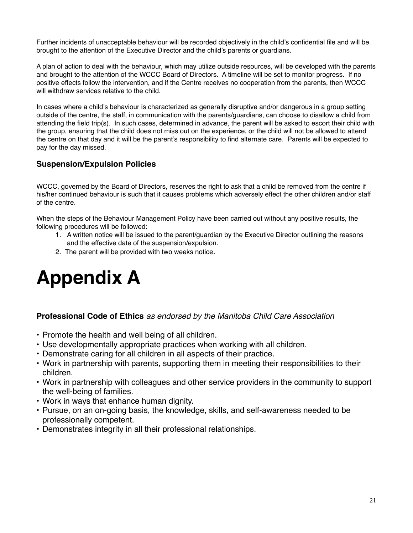Further incidents of unacceptable behaviour will be recorded objectively in the child's confidential file and will be brought to the attention of the Executive Director and the child's parents or guardians.

A plan of action to deal with the behaviour, which may utilize outside resources, will be developed with the parents and brought to the attention of the WCCC Board of Directors. A timeline will be set to monitor progress. If no positive effects follow the intervention, and if the Centre receives no cooperation from the parents, then WCCC will withdraw services relative to the child.

In cases where a child's behaviour is characterized as generally disruptive and/or dangerous in a group setting outside of the centre, the staff, in communication with the parents/guardians, can choose to disallow a child from attending the field trip(s). In such cases, determined in advance, the parent will be asked to escort their child with the group, ensuring that the child does not miss out on the experience, or the child will not be allowed to attend the centre on that day and it will be the parent's responsibility to find alternate care. Parents will be expected to pay for the day missed.

## <span id="page-20-0"></span>**Suspension/Expulsion Policies**

WCCC, governed by the Board of Directors, reserves the right to ask that a child be removed from the centre if his/her continued behaviour is such that it causes problems which adversely effect the other children and/or staff of the centre.

When the steps of the Behaviour Management Policy have been carried out without any positive results, the following procedures will be followed:

- 1. A written notice will be issued to the parent/guardian by the Executive Director outlining the reasons and the effective date of the suspension/expulsion.
- 2. The parent will be provided with two weeks notice.

## <span id="page-20-1"></span>**Appendix A**

## **Professional Code of Ethics** *as endorsed by the Manitoba Child Care Association*

- Promote the health and well being of all children.
- Use developmentally appropriate practices when working with all children.
- Demonstrate caring for all children in all aspects of their practice.
- Work in partnership with parents, supporting them in meeting their responsibilities to their children.
- Work in partnership with colleagues and other service providers in the community to support the well-being of families.
- Work in ways that enhance human dignity.
- Pursue, on an on-going basis, the knowledge, skills, and self-awareness needed to be professionally competent.
- Demonstrates integrity in all their professional relationships.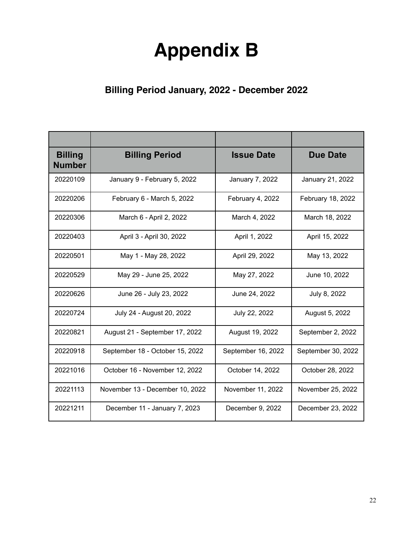## <span id="page-21-0"></span>**Appendix B**

## <span id="page-21-1"></span>**Billing Period January, 2022 - December 2022**

| <b>Billing</b><br><b>Number</b> | <b>Billing Period</b>           | <b>Issue Date</b>  | <b>Due Date</b>    |
|---------------------------------|---------------------------------|--------------------|--------------------|
| 20220109                        | January 9 - February 5, 2022    | January 7, 2022    | January 21, 2022   |
| 20220206                        | February 6 - March 5, 2022      | February 4, 2022   | February 18, 2022  |
| 20220306                        | March 6 - April 2, 2022         | March 4, 2022      | March 18, 2022     |
| 20220403                        | April 3 - April 30, 2022        | April 1, 2022      | April 15, 2022     |
| 20220501                        | May 1 - May 28, 2022            | April 29, 2022     | May 13, 2022       |
| 20220529                        | May 29 - June 25, 2022          | May 27, 2022       | June 10, 2022      |
| 20220626                        | June 26 - July 23, 2022         | June 24, 2022      | July 8, 2022       |
| 20220724                        | July 24 - August 20, 2022       | July 22, 2022      | August 5, 2022     |
| 20220821                        | August 21 - September 17, 2022  | August 19, 2022    | September 2, 2022  |
| 20220918                        | September 18 - October 15, 2022 | September 16, 2022 | September 30, 2022 |
| 20221016                        | October 16 - November 12, 2022  | October 14, 2022   | October 28, 2022   |
| 20221113                        | November 13 - December 10, 2022 | November 11, 2022  | November 25, 2022  |
| 20221211                        | December 11 - January 7, 2023   | December 9, 2022   | December 23, 2022  |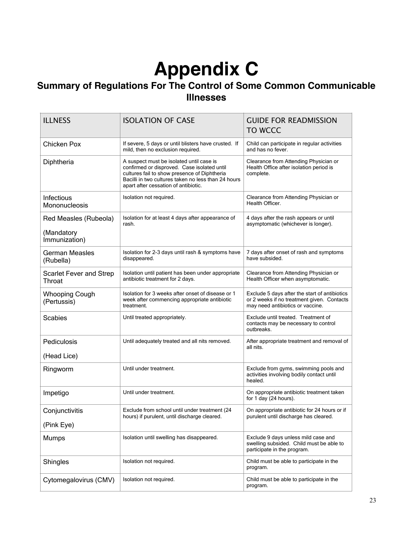## <span id="page-22-0"></span>**Appendix C**

## <span id="page-22-1"></span>**Summary of Regulations For The Control of Some Common Communicable Illnesses**

| <b>ILLNESS</b>                                       | <b>ISOLATION OF CASE</b>                                                                                                                                                                                                               | <b>GUIDE FOR READMISSION</b><br>TO WCCC                                                                                         |
|------------------------------------------------------|----------------------------------------------------------------------------------------------------------------------------------------------------------------------------------------------------------------------------------------|---------------------------------------------------------------------------------------------------------------------------------|
| <b>Chicken Pox</b>                                   | If severe, 5 days or until blisters have crusted. If<br>mild, then no exclusion required.                                                                                                                                              | Child can participate in regular activities<br>and has no fever.                                                                |
| Diphtheria                                           | A suspect must be isolated until case is<br>confirmed or disproved. Case isolated until<br>cultures fail to show presence of Diphtheria<br>Bacilli in two cultures taken no less than 24 hours<br>apart after cessation of antibiotic. | Clearance from Attending Physician or<br>Health Office after isolation period is<br>complete.                                   |
| Infectious<br>Mononucleosis                          | Isolation not required.                                                                                                                                                                                                                | Clearance from Attending Physician or<br>Health Officer.                                                                        |
| Red Measles (Rubeola)<br>(Mandatory<br>Immunization) | Isolation for at least 4 days after appearance of<br>rash.                                                                                                                                                                             | 4 days after the rash appears or until<br>asymptomatic (whichever is longer).                                                   |
| <b>German Measles</b><br>(Rubella)                   | Isolation for 2-3 days until rash & symptoms have<br>disappeared.                                                                                                                                                                      | 7 days after onset of rash and symptoms<br>have subsided.                                                                       |
| <b>Scarlet Fever and Strep</b><br>Throat             | Isolation until patient has been under appropriate<br>antibiotic treatment for 2 days.                                                                                                                                                 | Clearance from Attending Physician or<br>Health Officer when asymptomatic.                                                      |
| <b>Whooping Cough</b><br>(Pertussis)                 | Isolation for 3 weeks after onset of disease or 1<br>week after commencing appropriate antibiotic<br>treatment.                                                                                                                        | Exclude 5 days after the start of antibiotics<br>or 2 weeks if no treatment given. Contacts<br>may need antibiotics or vaccine. |
| <b>Scabies</b>                                       | Until treated appropriately.                                                                                                                                                                                                           | Exclude until treated. Treatment of<br>contacts may be necessary to control<br>outbreaks.                                       |
| Pediculosis<br>(Head Lice)                           | Until adequately treated and all nits removed.                                                                                                                                                                                         | After appropriate treatment and removal of<br>all nits.                                                                         |
| Ringworm                                             | Until under treatment.                                                                                                                                                                                                                 | Exclude from gyms, swimming pools and<br>activities involving bodily contact until<br>healed.                                   |
| Impetigo                                             | Until under treatment.                                                                                                                                                                                                                 | On appropriate antibiotic treatment taken<br>for $1$ day (24 hours).                                                            |
| Conjunctivitis<br>(Pink Eye)                         | Exclude from school until under treatment (24<br>hours) if purulent, until discharge cleared.                                                                                                                                          | On appropriate antibiotic for 24 hours or if<br>purulent until discharge has cleared.                                           |
| Mumps                                                | Isolation until swelling has disappeared.                                                                                                                                                                                              | Exclude 9 days unless mild case and<br>swelling subsided. Child must be able to<br>participate in the program.                  |
| Shingles                                             | Isolation not required.                                                                                                                                                                                                                | Child must be able to participate in the<br>program.                                                                            |
| Cytomegalovirus (CMV)                                | Isolation not required.                                                                                                                                                                                                                | Child must be able to participate in the<br>program.                                                                            |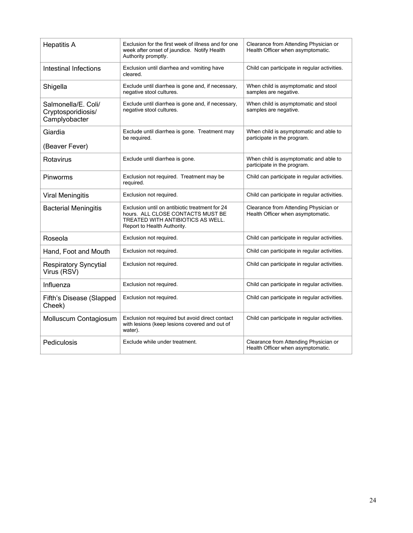| <b>Hepatitis A</b>                                         | Exclusion for the first week of illness and for one<br>week after onset of jaundice. Notify Health<br>Authority promptly.                               | Clearance from Attending Physician or<br>Health Officer when asymptomatic. |
|------------------------------------------------------------|---------------------------------------------------------------------------------------------------------------------------------------------------------|----------------------------------------------------------------------------|
| Intestinal Infections                                      | Exclusion until diarrhea and vomiting have<br>cleared.                                                                                                  | Child can participate in regular activities.                               |
| Shigella                                                   | Exclude until diarrhea is gone and, if necessary,<br>negative stool cultures.                                                                           | When child is asymptomatic and stool<br>samples are negative.              |
| Salmonella/E. Coli/<br>Cryptosporidiosis/<br>Camplyobacter | Exclude until diarrhea is gone and, if necessary,<br>negative stool cultures.                                                                           | When child is asymptomatic and stool<br>samples are negative.              |
| Giardia                                                    | Exclude until diarrhea is gone. Treatment may<br>be required.                                                                                           | When child is asymptomatic and able to<br>participate in the program.      |
| (Beaver Fever)                                             |                                                                                                                                                         |                                                                            |
| Rotavirus                                                  | Exclude until diarrhea is gone.                                                                                                                         | When child is asymptomatic and able to<br>participate in the program.      |
| Pinworms                                                   | Exclusion not required. Treatment may be<br>required.                                                                                                   | Child can participate in regular activities.                               |
| <b>Viral Meningitis</b>                                    | Exclusion not required.                                                                                                                                 | Child can participate in regular activities.                               |
| <b>Bacterial Meningitis</b>                                | Exclusion until on antibiotic treatment for 24<br>hours. ALL CLOSE CONTACTS MUST BE<br>TREATED WITH ANTIBIOTICS AS WELL.<br>Report to Health Authority. | Clearance from Attending Physician or<br>Health Officer when asymptomatic. |
| Roseola                                                    | Exclusion not required.                                                                                                                                 | Child can participate in regular activities.                               |
| Hand, Foot and Mouth                                       | Exclusion not required.                                                                                                                                 | Child can participate in regular activities.                               |
| <b>Respiratory Syncytial</b><br>Virus (RSV)                | Exclusion not required.                                                                                                                                 | Child can participate in regular activities.                               |
| Influenza                                                  | Exclusion not required.                                                                                                                                 | Child can participate in regular activities.                               |
| Fifth's Disease (Slapped<br>Cheek)                         | Exclusion not required.                                                                                                                                 | Child can participate in regular activities.                               |
| Molluscum Contagiosum                                      | Exclusion not required but avoid direct contact<br>with lesions (keep lesions covered and out of<br>water).                                             | Child can participate in regular activities.                               |
| Pediculosis                                                | Exclude while under treatment.                                                                                                                          | Clearance from Attending Physician or<br>Health Officer when asymptomatic. |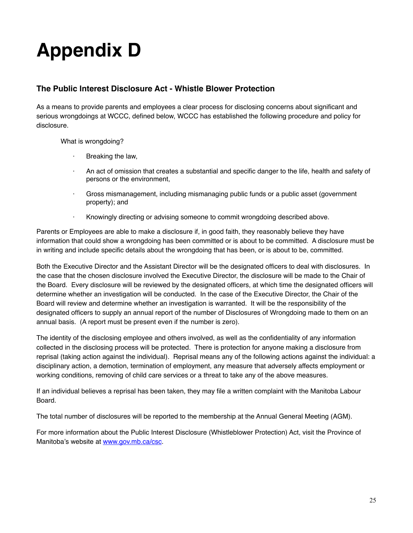# <span id="page-24-0"></span>**Appendix D**

## <span id="page-24-1"></span>**The Public Interest Disclosure Act - Whistle Blower Protection**

As a means to provide parents and employees a clear process for disclosing concerns about significant and serious wrongdoings at WCCC, defined below, WCCC has established the following procedure and policy for disclosure.

What is wrongdoing?

- · Breaking the law,
- An act of omission that creates a substantial and specific danger to the life, health and safety of persons or the environment,
- · Gross mismanagement, including mismanaging public funds or a public asset (government property); and
- · Knowingly directing or advising someone to commit wrongdoing described above.

Parents or Employees are able to make a disclosure if, in good faith, they reasonably believe they have information that could show a wrongdoing has been committed or is about to be committed. A disclosure must be in writing and include specific details about the wrongdoing that has been, or is about to be, committed.

Both the Executive Director and the Assistant Director will be the designated officers to deal with disclosures. In the case that the chosen disclosure involved the Executive Director, the disclosure will be made to the Chair of the Board. Every disclosure will be reviewed by the designated officers, at which time the designated officers will determine whether an investigation will be conducted. In the case of the Executive Director, the Chair of the Board will review and determine whether an investigation is warranted. It will be the responsibility of the designated officers to supply an annual report of the number of Disclosures of Wrongdoing made to them on an annual basis. (A report must be present even if the number is zero).

The identity of the disclosing employee and others involved, as well as the confidentiality of any information collected in the disclosing process will be protected. There is protection for anyone making a disclosure from reprisal (taking action against the individual). Reprisal means any of the following actions against the individual: a disciplinary action, a demotion, termination of employment, any measure that adversely affects employment or working conditions, removing of child care services or a threat to take any of the above measures.

If an individual believes a reprisal has been taken, they may file a written complaint with the Manitoba Labour Board.

The total number of disclosures will be reported to the membership at the Annual General Meeting (AGM).

For more information about the Public Interest Disclosure (Whistleblower Protection) Act, visit the Province of Manitoba's website at [www.gov.mb.ca/csc.](http://www.gov.mb.ca/csc)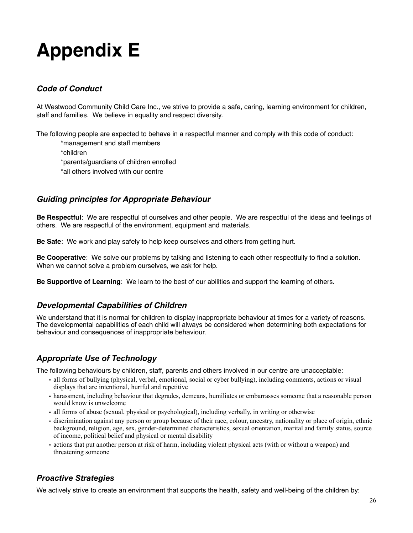## <span id="page-25-0"></span>**Appendix E**

## <span id="page-25-1"></span>*Code of Conduct*

At Westwood Community Child Care Inc., we strive to provide a safe, caring, learning environment for children, staff and families. We believe in equality and respect diversity.

The following people are expected to behave in a respectful manner and comply with this code of conduct:

\*management and staff members

\*children

\*parents/guardians of children enrolled

\*all others involved with our centre

## *Guiding principles for Appropriate Behaviour*

**Be Respectful**: We are respectful of ourselves and other people. We are respectful of the ideas and feelings of others. We are respectful of the environment, equipment and materials.

**Be Safe**: We work and play safely to help keep ourselves and others from getting hurt.

**Be Cooperative**: We solve our problems by talking and listening to each other respectfully to find a solution. When we cannot solve a problem ourselves, we ask for help.

**Be Supportive of Learning**: We learn to the best of our abilities and support the learning of others.

## *Developmental Capabilities of Children*

We understand that it is normal for children to display inappropriate behaviour at times for a variety of reasons. The developmental capabilities of each child will always be considered when determining both expectations for behaviour and consequences of inappropriate behaviour.

## *Appropriate Use of Technology*

The following behaviours by children, staff, parents and others involved in our centre are unacceptable:

- **-** all forms of bullying (physical, verbal, emotional, social or cyber bullying), including comments, actions or visual displays that are intentional, hurtful and repetitive
- **-** harassment, including behaviour that degrades, demeans, humiliates or embarrasses someone that a reasonable person would know is unwelcome
- **-** all forms of abuse (sexual, physical or psychological), including verbally, in writing or otherwise
- **-** discrimination against any person or group because of their race, colour, ancestry, nationality or place of origin, ethnic background, religion, age, sex, gender-determined characteristics, sexual orientation, marital and family status, source of income, political belief and physical or mental disability
- **-** actions that put another person at risk of harm, including violent physical acts (with or without a weapon) and threatening someone

## *Proactive Strategies*

We actively strive to create an environment that supports the health, safety and well-being of the children by: